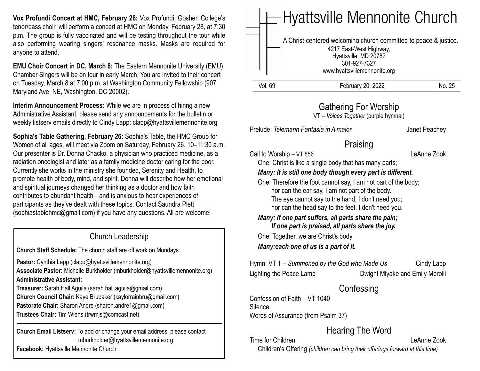**Vox Profundi Concert at HMC, February 28:** Vox Profundi, Goshen College's tenor/bass choir, will perform a concert at HMC on Monday, February 28, at 7:30 p.m. The group is fully vaccinated and will be testing throughout the tour while also performing wearing singers' resonance masks. Masks are required for anyone to attend.

**EMU Choir Concert in DC, March 8:** The Eastern Mennonite University (EMU) Chamber Singers will be on tour in early March. You are invited to their concert on Tuesday, March 8 at 7:00 p.m. at Washington Community Fellowship (907 Maryland Ave. NE, Washington, DC 20002).

**Interim Announcement Process:** While we are in process of hiring a new Administrative Assistant, please send any announcements for the bulletin or weekly listserv emails directly to Cindy Lapp: [clapp@hyattsvillemennonite.org](mailto:clapp@hyattsvillemennonite.org)

**Sophia's Table Gathering, February 26:** Sophia's Table, the HMC Group for Women of all ages, will meet via Zoom on Saturday, February 26, 10–11:30 a.m. Our presenter is Dr. Donna Chacko, a physician who practiced medicine, as a radiation oncologist and later as a family medicine doctor caring for the poor. Currently she works in the ministry she founded, Serenity and Health, to promote health of body, mind, and spirit. Donna will describe how her emotional and spiritual journeys changed her thinking as a doctor and how faith contributes to abundant health—and is anxious to hear experiences of participants as they've dealt with these topics. Contact Saundra Plett ([sophiastablehmc@gmail.com\)](mailto:sophiastablehmc@gmail.com) if you have any questions. All are welcome!

### Church Leadership

**Church Staff Schedule:** The church staff are off work on Mondays.

Pastor: Cynthia Lapp (clapp@hyattsvillemennonite.org) **Associate Pastor:** Michelle Burkholder (mburkholder@hyattsvillemennonite.org) **Administrative Assistant:**

**Treasurer:** Sarah Hall Aguila (sarah.hall.aguila@gmail.com) **Church Council Chair:** Kaye Brubaker (kaylorrainbru@gmail.com) **Pastorate Chair:** Sharon Andre (sharon.andre1@gmail.com) **Trustees Chair:** Tim Wiens (trwmjs@comcast.net)

**Church Email Listserv:** To add or change your email address, please contact mburkholder@hyattsvillemennonite.org **Facebook:** Hyattsville Mennonite Church

Call to Worship – VT 856 LeAnne Zook

 *Many: If one part suffers, all parts share the pain; If one part is praised, all parts share the joy.*

Hymn: VT 1 – *Summoned by the God who Made Us* Cindy Lapp

## **Confessing**

Confession of Faith – VT 1040 **Silence** Words of Assurance (from Psalm 37)

# Hearing The Word

Time for Children **Leanne** Zook Children's Offering *(children can bring their offerings forward at this time)*

Vol. 69 February 20, 2022 No. 25 Hyattsville Mennonite Church A Christ-centered welcoming church committed to peace & justice. 4217 East-West Highway, Hyattsville, MD 20782 301-927-7327 www.hyattsvillemennonite.org

### Gathering For Worship

VT – *Voices Together* (purple hymnal)

Prelude: *Telemann Fantasia in A major* Janet Peachey

# Praising

One: Christ is like a single body that has many parts;

### *Many: It is still one body though every part is different.*

 One: Therefore the foot cannot say, I am not part of the body; nor can the ear say, I am not part of the body. The eye cannot say to the hand, I don't need you; nor can the head say to the feet, I don't need you.

 One: Together, we are Christ's body *Many:each one of us is a part of it.*

Lighting the Peace Lamp Dwight Miyake and Emily Merolli